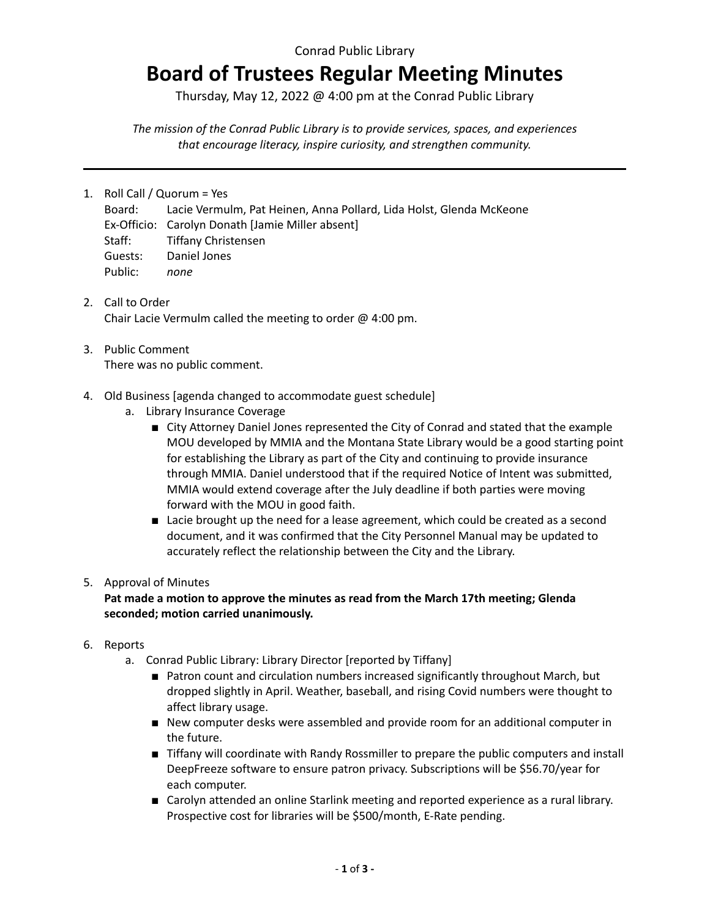### Conrad Public Library

# **Board of Trustees Regular Meeting Minutes**

Thursday, May 12, 2022 @ 4:00 pm at the Conrad Public Library

*The mission of the Conrad Public Library is to provide services, spaces, and experiences that encourage literacy, inspire curiosity, and strengthen community.*

- 1. Roll Call / Quorum = Yes
	- Board: Lacie Vermulm, Pat Heinen, Anna Pollard, Lida Holst, Glenda McKeone Ex-Officio: Carolyn Donath [Jamie Miller absent] Staff: Tiffany Christensen Guests: Daniel Jones Public: *none*
- 2. Call to Order Chair Lacie Vermulm called the meeting to order @ 4:00 pm.
- 3. Public Comment There was no public comment.
- 4. Old Business [agenda changed to accommodate guest schedule]
	- a. Library Insurance Coverage
		- City Attorney Daniel Jones represented the City of Conrad and stated that the example MOU developed by MMIA and the Montana State Library would be a good starting point for establishing the Library as part of the City and continuing to provide insurance through MMIA. Daniel understood that if the required Notice of Intent was submitted, MMIA would extend coverage after the July deadline if both parties were moving forward with the MOU in good faith.
		- Lacie brought up the need for a lease agreement, which could be created as a second document, and it was confirmed that the City Personnel Manual may be updated to accurately reflect the relationship between the City and the Library.

#### 5. Approval of Minutes

#### **Pat made a motion to approve the minutes as read from the March 17th meeting; Glenda seconded; motion carried unanimously.**

- 6. Reports
	- a. Conrad Public Library: Library Director [reported by Tiffany]
		- Patron count and circulation numbers increased significantly throughout March, but dropped slightly in April. Weather, baseball, and rising Covid numbers were thought to affect library usage.
		- New computer desks were assembled and provide room for an additional computer in the future.
		- Tiffany will coordinate with Randy Rossmiller to prepare the public computers and install DeepFreeze software to ensure patron privacy. Subscriptions will be \$56.70/year for each computer.
		- Carolyn attended an online Starlink meeting and reported experience as a rural library. Prospective cost for libraries will be \$500/month, E-Rate pending.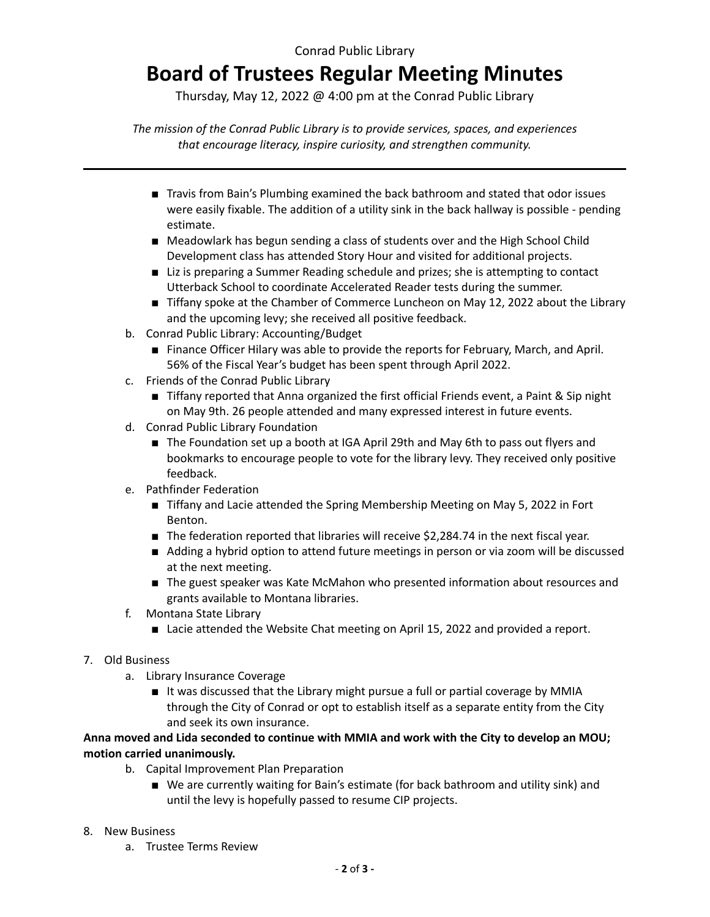### Conrad Public Library

## **Board of Trustees Regular Meeting Minutes**

Thursday, May 12, 2022 @ 4:00 pm at the Conrad Public Library

*The mission of the Conrad Public Library is to provide services, spaces, and experiences that encourage literacy, inspire curiosity, and strengthen community.*

- Travis from Bain's Plumbing examined the back bathroom and stated that odor issues were easily fixable. The addition of a utility sink in the back hallway is possible - pending estimate.
- Meadowlark has begun sending a class of students over and the High School Child Development class has attended Story Hour and visited for additional projects.
- Liz is preparing a Summer Reading schedule and prizes; she is attempting to contact Utterback School to coordinate Accelerated Reader tests during the summer.
- Tiffany spoke at the Chamber of Commerce Luncheon on May 12, 2022 about the Library and the upcoming levy; she received all positive feedback.
- b. Conrad Public Library: Accounting/Budget
	- Finance Officer Hilary was able to provide the reports for February, March, and April. 56% of the Fiscal Year's budget has been spent through April 2022.
- c. Friends of the Conrad Public Library
	- Tiffany reported that Anna organized the first official Friends event, a Paint & Sip night on May 9th. 26 people attended and many expressed interest in future events.
- d. Conrad Public Library Foundation
	- The Foundation set up a booth at IGA April 29th and May 6th to pass out flyers and bookmarks to encourage people to vote for the library levy. They received only positive feedback.
- e. Pathfinder Federation
	- Tiffany and Lacie attended the Spring Membership Meeting on May 5, 2022 in Fort Benton.
	- The federation reported that libraries will receive \$2,284.74 in the next fiscal year.
	- Adding a hybrid option to attend future meetings in person or via zoom will be discussed at the next meeting.
	- The guest speaker was Kate McMahon who presented information about resources and grants available to Montana libraries.
- f. Montana State Library
	- Lacie attended the Website Chat meeting on April 15, 2022 and provided a report.

#### 7. Old Business

- a. Library Insurance Coverage
	- It was discussed that the Library might pursue a full or partial coverage by MMIA through the City of Conrad or opt to establish itself as a separate entity from the City and seek its own insurance.

**Anna moved and Lida seconded to continue with MMIA and work with the City to develop an MOU; motion carried unanimously.**

- b. Capital Improvement Plan Preparation
	- We are currently waiting for Bain's estimate (for back bathroom and utility sink) and until the levy is hopefully passed to resume CIP projects.
- 8. New Business
	- a. Trustee Terms Review